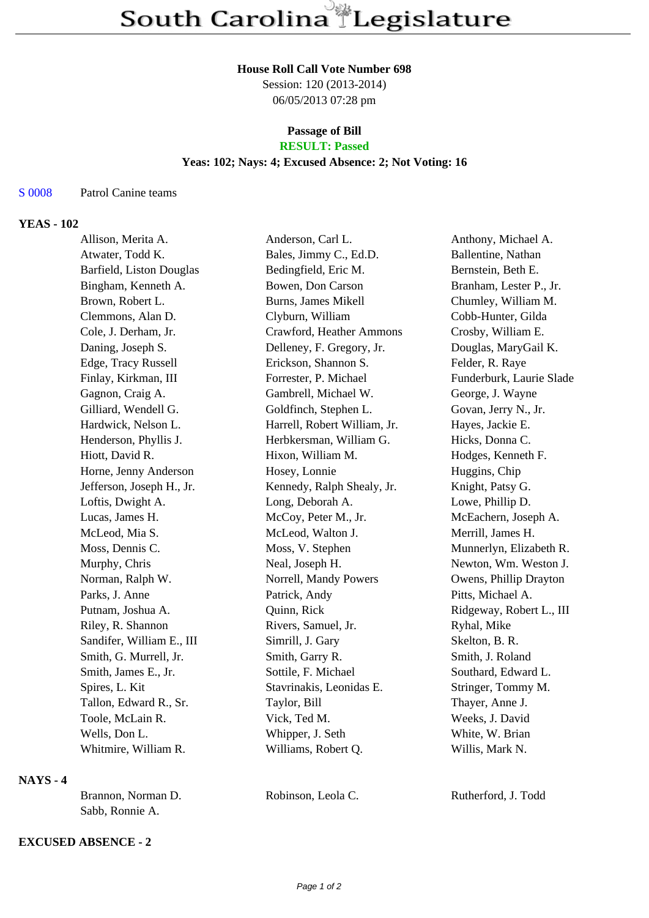#### **House Roll Call Vote Number 698**

Session: 120 (2013-2014) 06/05/2013 07:28 pm

## **Passage of Bill RESULT: Passed**

#### **Yeas: 102; Nays: 4; Excused Absence: 2; Not Voting: 16**

#### S 0008 Patrol Canine teams

### **YEAS - 102**

| Allison, Merita A.        | Anderson, Carl L.            | Anthony, Michael A.      |
|---------------------------|------------------------------|--------------------------|
| Atwater, Todd K.          | Bales, Jimmy C., Ed.D.       | Ballentine, Nathan       |
| Barfield, Liston Douglas  | Bedingfield, Eric M.         | Bernstein, Beth E.       |
| Bingham, Kenneth A.       | Bowen, Don Carson            | Branham, Lester P., Jr.  |
| Brown, Robert L.          | <b>Burns, James Mikell</b>   | Chumley, William M.      |
| Clemmons, Alan D.         | Clyburn, William             | Cobb-Hunter, Gilda       |
| Cole, J. Derham, Jr.      | Crawford, Heather Ammons     | Crosby, William E.       |
| Daning, Joseph S.         | Delleney, F. Gregory, Jr.    | Douglas, MaryGail K.     |
| Edge, Tracy Russell       | Erickson, Shannon S.         | Felder, R. Raye          |
| Finlay, Kirkman, III      | Forrester, P. Michael        | Funderburk, Laurie Slade |
| Gagnon, Craig A.          | Gambrell, Michael W.         | George, J. Wayne         |
| Gilliard, Wendell G.      | Goldfinch, Stephen L.        | Govan, Jerry N., Jr.     |
| Hardwick, Nelson L.       | Harrell, Robert William, Jr. | Hayes, Jackie E.         |
| Henderson, Phyllis J.     | Herbkersman, William G.      | Hicks, Donna C.          |
| Hiott, David R.           | Hixon, William M.            | Hodges, Kenneth F.       |
| Horne, Jenny Anderson     | Hosey, Lonnie                | Huggins, Chip            |
| Jefferson, Joseph H., Jr. | Kennedy, Ralph Shealy, Jr.   | Knight, Patsy G.         |
| Loftis, Dwight A.         | Long, Deborah A.             | Lowe, Phillip D.         |
| Lucas, James H.           | McCoy, Peter M., Jr.         | McEachern, Joseph A.     |
| McLeod, Mia S.            | McLeod, Walton J.            | Merrill, James H.        |
| Moss, Dennis C.           | Moss, V. Stephen             | Munnerlyn, Elizabeth R.  |
| Murphy, Chris             | Neal, Joseph H.              | Newton, Wm. Weston J.    |
| Norman, Ralph W.          | Norrell, Mandy Powers        | Owens, Phillip Drayton   |
| Parks, J. Anne            | Patrick, Andy                | Pitts, Michael A.        |
| Putnam, Joshua A.         | Quinn, Rick                  | Ridgeway, Robert L., III |
| Riley, R. Shannon         | Rivers, Samuel, Jr.          | Ryhal, Mike              |
| Sandifer, William E., III | Simrill, J. Gary             | Skelton, B. R.           |
| Smith, G. Murrell, Jr.    | Smith, Garry R.              | Smith, J. Roland         |
| Smith, James E., Jr.      | Sottile, F. Michael          | Southard, Edward L.      |
| Spires, L. Kit            | Stavrinakis, Leonidas E.     | Stringer, Tommy M.       |
| Tallon, Edward R., Sr.    | Taylor, Bill                 | Thayer, Anne J.          |
| Toole, McLain R.          | Vick, Ted M.                 | Weeks, J. David          |
| Wells, Don L.             | Whipper, J. Seth             | White, W. Brian          |
| Whitmire, William R.      | Williams, Robert Q.          | Willis, Mark N.          |
|                           |                              |                          |

# **NAYS - 4**

| Brannon, Norman D. | Robinson, Leola C. | Rutherford, J. Todd |
|--------------------|--------------------|---------------------|
| Sabb, Ronnie A.    |                    |                     |

## **EXCUSED ABSENCE - 2**